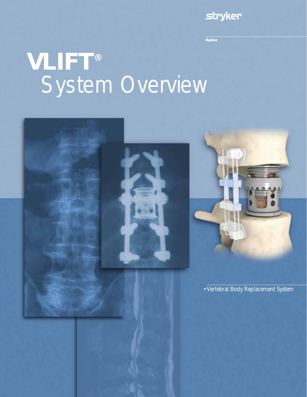# **stryker**®

**Spine** 

# **VLIFT®** System Overview

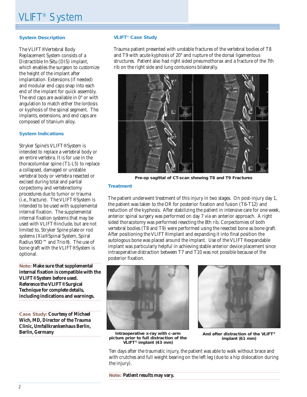## **System Description**

The VLIFT® Vertebral Body Replacement System consists of a Distractible *In Situ* (DIS) implant, which enables the surgeon to customize the height of the implant after implantation. Extensions (if needed) and modular end caps snap into each end of the implant for quick assembly. The end caps are available in 0° or with angulation to match either the lordosis or kyphosis of the spinal segment. The implants, extensions, and end caps are composed of titanium alloy.

#### **System Indications**

Stryker Spine's VLIFT® System is intended to replace a vertebral body or an entire vertebra. It is for use in the thoracolumbar spine (T1-L5) to replace a collapsed, damaged or unstable vertebral body or vertebra resected or excised during total and partial corpectomy and vertebrectomy procedures due to tumor or trauma (i.e., fracture). The VLIFT® System is intended to be used with supplemental internal fixation. The supplemental internal fixation systems that may be used with VLIFT<sup>®</sup> include, but are not limited to, Stryker Spine plate or rod systems (Xia® Spinal System, Spiral Radius 90D™ and Trio®). The use of bone graft with the VLIFT® System is optional.

**Note: Make sure that supplemental internal fixation is compatible with the VLIFT® System before used. Reference the VLIFT® Surgical Technique for complete details, including indications and warnings.**

**Case Study: Courtesy of Michael Wich, MD, Director of the Trauma Clinic, Umfallkrankenhaus Berlin, Berlin, Germany**

#### **VLIFT® Case Study**

Trauma patient presented with unstable fractures of the vertebral bodies of T8 and T9 with acute kyphosis of 20° and rupture of the dorsal ligamentous structures. Patient also had right sided pneumothorax and a fracture of the 7th rib on the right side and lung contusions bilaterally.



**Pre-op sagittal of CT-scan showing T8 and T9 Fractures**

#### **Treatment**

The patient underwent treatment of this injury in two stages. On post-injury day 1, the patient was taken to the OR for posterior fixation and fusion (T6-T12) and reduction of the kyphosis. After stabilizing the patient in intensive care for one week, anterior spinal surgery was performed on day 7 via an anterior approach. A right sided thoracotomy was performed resecting the 8th rib. Corpectomies of both vertebral bodies (T8 and T9) were performed using the resected bone as bone graft. After positioning the VLIFT® implant and expanding it into final position the autologous bone was placed around the implant. Use of the VLIFT® expandable implant was particularly helpful in achieving stable anterior device placement since intraoperative distraction between T7 and T10 was not possible because of the posterior fixation.



**Intraoperative x-ray with c-arm picture prior to full distraction of the VLIFT® implant (43 mm)**

**And after distraction of the VLIFT® implant (61 mm)**

Ten days after the traumatic injury, the patient was able to walk without brace and with crutches and full weight bearing on the left leg (due to a hip dislocation during the injury).

**Note: Patient results may vary.**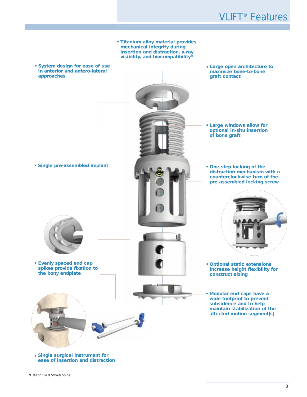# VLIFT® Features

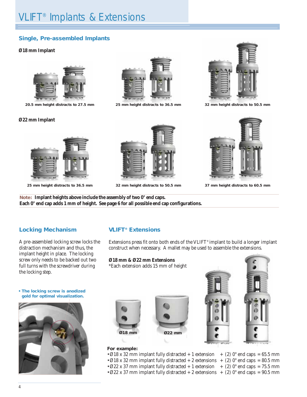# **Single, Pre-assembled Implants**

## **Ø18 mm Implant**



**20.5 mm height distracts to 27.5 mm**

## **Ø22 mm Implant**



**25 mm height distracts to 36.5 mm 32 mm height distracts to 50.5 mm 37 mm height distracts to 60.5 mm**





**25 mm height distracts to 36.5 mm 32 mm height distracts to 50.5 mm**





**Note: Implant heights above include the assembly of two 0° end caps. Each 0° end cap adds 1 mm of height. See page 6 for all possible end cap configurations.**

# **Locking Mechanism**

A pre-assembled locking screw locks the distraction mechanism and thus, the implant height in place. The locking screw only needs to be backed out two full turns with the screwdriver during the locking step.

# **VLIFT® Extensions**

Extensions press fit onto both ends of the VLIFT® implant to build a longer implant construct when necessary. A mallet may be used to assemble the extensions.

- **Ø18 mm & Ø22 mm Extensions** \*Each extension adds 15 mm of height
- **The locking screw is anodized gold for optimal visualization.**









## **For example:**

- Ø18 x 32 mm implant fully distracted + 1 extension  $+$  (2) 0° end caps = 65.5 mm
- Ø18 x 32 mm implant fully distracted + 2 extensions + (2)  $0^{\circ}$  end caps = 80.5 mm
- Ø22 x 37 mm implant fully distracted + 1 extension + (2)  $0^{\circ}$  end caps = 75.5 mm
- Ø22 x 37 mm implant fully distracted + 2 extensions + (2)  $0^{\circ}$  end caps = 90.5 mm
- 
-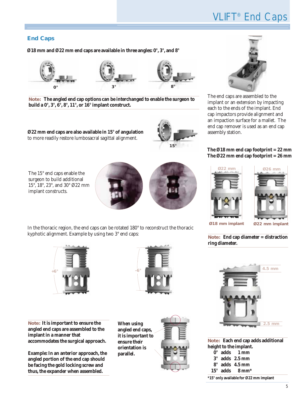# **End Caps**

**Ø18 mm and Ø22 mm end caps are available in three angles: 0°, 3°, and 8°**



**Note: The angled end cap options can be interchanged to enable the surgeon to build a 0°, 3°, 6°, 8°, 11°, or 16° implant construct.**

**Ø22 mm end caps are also available in 15° of angulation** to more readily restore lumbosacral sagittal alignment.



The 15° end caps enable the surgeon to build additional 15°, 18°, 23°, and 30° Ø22 mm implant constructs.





In the thoracic region, the end caps can be rotated 180° to reconstruct the thoracic kyphotic alignment. Example by using two 3° end caps:



**Note: It is important to ensure the angled end caps are assembled to the implant in a manner that accommodates the surgical approach.**

**Example: In an anterior approach, the angled portion of the end cap should be facing the gold locking screw and thus, the expander when assembled.**



**When using angled end caps, it is important to ensure their orientation is parallel.**





The end caps are assembled to the implant or an extension by impacting each to the ends of the implant. End cap impactors provide alignment and an impaction surface for a mallet. The end cap remover is used as an end cap assembly station.

## **The Ø18 mm end cap footprint = 22 mm The Ø22 mm end cap footprint = 26 mm**





**Ø18 mm implant Ø22 mm implant**

**Note: End cap diameter = distraction ring diameter.**



**Note: Each end cap adds additional height to the implant. 0° adds 1 mm 3° adds 2.5 mm 8° adds 4.5 mm 15° adds 8 mm\* \*15° only available for Ø22 mm implant**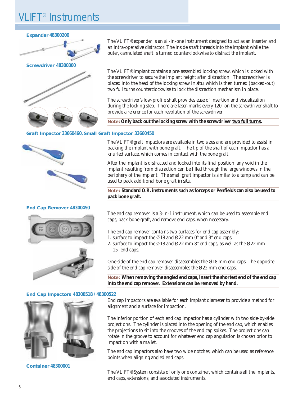# IFT<sup>®</sup> Instruments

## **Expander 48300200**



**Screwdriver 48300300**



## **Graft Impactor 33660460, Small Graft Impactor 33660450**

#### **End Cap Remover 48300450**





**End Cap Impactors 48300518 / 48300522**



**Container 48300001**

The VLIFT® expander is an all-in-one instrument designed to act as an inserter and an intra-operative distractor. The inside shaft threads into the implant while the outer, cannulated shaft is turned counterclockwise to distract the implant.

The VLIFT® implant contains a pre-assembled locking screw, which is locked with the screwdriver to secure the implant height after distraction. The screwdriver is placed into the head of the locking screw *in situ*, which is then turned (backed-out) two full turns counterclockwise to lock the distraction mechanism in place.

The screwdriver's low-profile shaft provides ease of insertion and visualization during the locking step. There are laser-marks every 120° on the screwdriver shaft to provide a reference for each revolution of the screwdriver.

**Note: Only back out the locking screw with the screwdriver two full turns.**

The VLIFT® graft impactors are available in two sizes and are provided to assist in packing the implant with bone graft. The tip of the shaft of each impactor has a knurled surface, which comes in contact with the bone graft.

After the implant is distracted and locked into its final position, any void in the implant resulting from distraction can be filled through the large windows in the periphery of the implant. The small graft impactor is similar to a tamp and can be used to pack additional bone graft *in situ*.

**Note: Standard O.R. instruments such as forceps or Penfields can also be used to pack bone graft.**

The end cap remover is a 3-in-1 instrument, which can be used to assemble end caps, pack bone graft, and remove end caps, when necessary.

The end cap remover contains two surfaces for end cap assembly:

- 1. surface to impact the Ø18 and Ø22 mm 0° and 3° end caps,
- 2. surface to impact the Ø18 and Ø22 mm 8° end caps, as well as the Ø22 mm 15° end caps.

One side of the end cap remover disassembles the Ø18 mm end caps. The opposite side of the end cap remover disassembles the Ø22 mm end caps.

**Note: When removing the angled end caps, insert the shortest end of the end cap into the end cap remover. Extensions can be removed by hand.**

End cap impactors are available for each implant diameter to provide a method for alignment and a surface for impaction.

The inferior portion of each end cap impactor has a cylinder with two side-by-side projections. The cylinder is placed into the opening of the end cap, which enables the projections to sit into the grooves of the end cap spikes. The projections can rotate in the groove to account for whatever end cap angulation is chosen prior to impaction with a mallet.

The end cap impactors also have two wide notches, which can be used as reference points when aligning angled end caps.

The VLIFT® System consists of only one container, which contains all the implants, end caps, extensions, and associated instruments.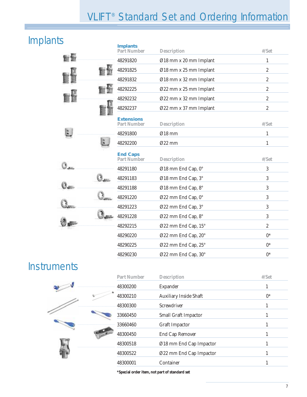# VLIFT® Standard Set and Ordering Information

# Implants

|  |               | <b>Implants</b><br><b>Part Number</b>   | <b>Description</b>     | #/Set            |
|--|---------------|-----------------------------------------|------------------------|------------------|
|  |               | 48291820                                | Ø18 mm x 20 mm Implant | 1                |
|  |               | 48291825                                | Ø18 mm x 25 mm Implant | $\boldsymbol{2}$ |
|  |               | 48291832                                | Ø18 mm x 32 mm Implant | $\boldsymbol{2}$ |
|  |               | 48292225                                | Ø22 mm x 25 mm Implant | $\overline{2}$   |
|  |               | 48292232                                | Ø22 mm x 32 mm Implant | $\boldsymbol{2}$ |
|  |               | 48292237                                | Ø22 mm x 37 mm Implant | $\overline{2}$   |
|  |               | <b>Extensions</b><br><b>Part Number</b> | <b>Description</b>     | #/Set            |
|  | $\frac{u}{2}$ | 48291800                                | $Ø18$ mm               | 1                |
|  |               | 48292200                                | Ø22 mm                 | $\mathbf{1}$     |
|  |               | <b>End Caps</b><br><b>Part Number</b>   | <b>Description</b>     | $\frac{H}{S}$ et |
|  |               | 48291180                                | Ø18 mm End Cap, 0°     | 3                |
|  |               | 48291183                                | Ø18 mm End Cap, 3°     | $\mathbf{3}$     |
|  |               | 48291188                                | Ø18 mm End Cap, 8°     | 3                |
|  |               | 48291220                                | Ø22 mm End Cap, 0°     | 3                |
|  |               | 48291223                                | Ø22 mm End Cap, 3°     | 3                |
|  |               | 48291228                                | Ø22 mm End Cap, 8°     | 3                |
|  |               | 48292215                                | Ø22 mm End Cap, 15°    | $\overline{2}$   |
|  |               | 48290220                                | Ø22 mm End Cap, 20°    | $0^*$            |
|  |               | 48290225                                | Ø22 mm End Cap, 25°    | $0^*$            |
|  |               | 48290230                                | Ø22 mm End Cap, 30°    | $0^*$            |

# **Instruments**

|  | <b>Part Number</b> | <b>Description</b>            | $\#$ /Set |
|--|--------------------|-------------------------------|-----------|
|  | 48300200           | Expander                      | 1         |
|  | 48300210           | <b>Auxiliary Inside Shaft</b> | $0^*$     |
|  | 48300300           | Screwdriver                   | 1         |
|  | 33660450           | <b>Small Graft Impactor</b>   |           |
|  | 33660460           | <b>Graft Impactor</b>         | 1         |
|  | 48300450           | <b>End Cap Remover</b>        | 1         |
|  | 48300518           | Ø18 mm End Cap Impactor       | 1         |
|  | 48300522           | Ø22 mm End Cap Impactor       | 1         |
|  | 48300001           | Container                     |           |
|  |                    |                               |           |

**\*Special order item, not part of standard set**